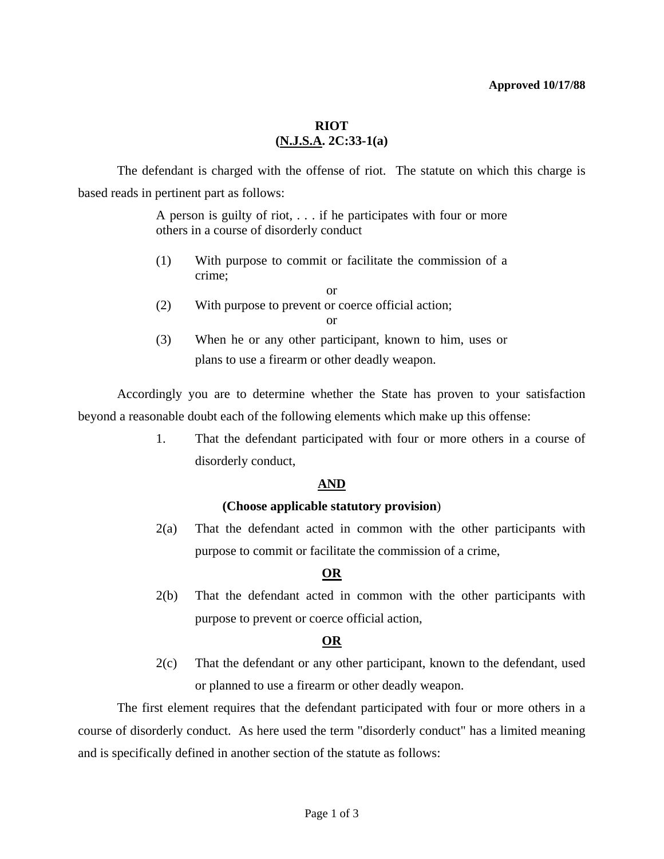#### **Approved 10/17/88**

## **RIOT (N.J.S.A. 2C:33-1(a)**

 The defendant is charged with the offense of riot. The statute on which this charge is based reads in pertinent part as follows:

> A person is guilty of riot, . . . if he participates with four or more others in a course of disorderly conduct

- (1) With purpose to commit or facilitate the commission of a crime;
	- or
- (2) With purpose to prevent or coerce official action;

(3) When he or any other participant, known to him, uses or plans to use a firearm or other deadly weapon.

 Accordingly you are to determine whether the State has proven to your satisfaction beyond a reasonable doubt each of the following elements which make up this offense:

> 1. That the defendant participated with four or more others in a course of disorderly conduct,

## **AND**

## **(Choose applicable statutory provision**)

 2(a) That the defendant acted in common with the other participants with purpose to commit or facilitate the commission of a crime,

# **OR**

 2(b) That the defendant acted in common with the other participants with purpose to prevent or coerce official action,

# **OR**

 2(c) That the defendant or any other participant, known to the defendant, used or planned to use a firearm or other deadly weapon.

 The first element requires that the defendant participated with four or more others in a course of disorderly conduct. As here used the term "disorderly conduct" has a limited meaning and is specifically defined in another section of the statute as follows:

or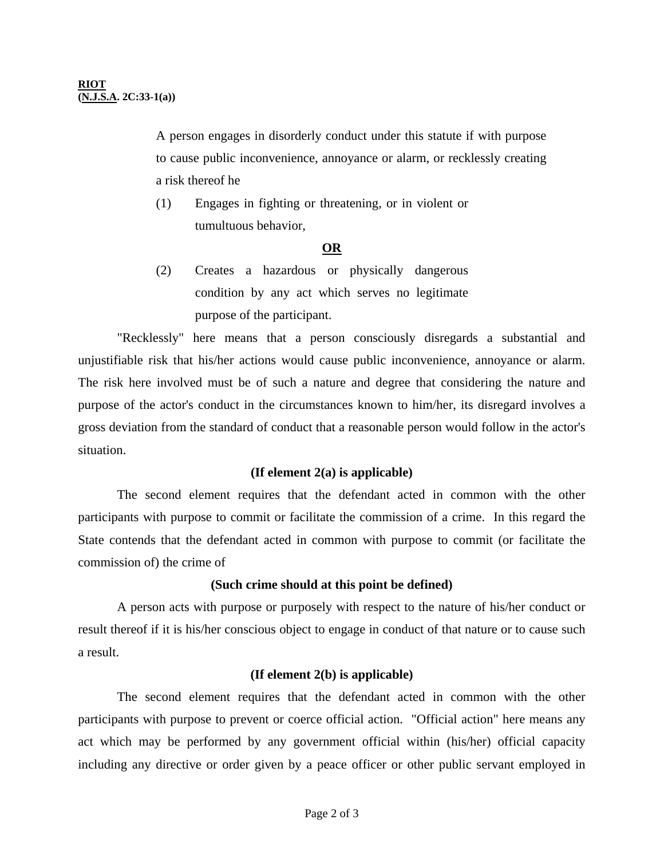A person engages in disorderly conduct under this statute if with purpose to cause public inconvenience, annoyance or alarm, or recklessly creating a risk thereof he

 (1) Engages in fighting or threatening, or in violent or tumultuous behavior,

### **OR**

 (2) Creates a hazardous or physically dangerous condition by any act which serves no legitimate purpose of the participant.

 "Recklessly" here means that a person consciously disregards a substantial and unjustifiable risk that his/her actions would cause public inconvenience, annoyance or alarm. The risk here involved must be of such a nature and degree that considering the nature and purpose of the actor's conduct in the circumstances known to him/her, its disregard involves a gross deviation from the standard of conduct that a reasonable person would follow in the actor's situation.

## **(If element 2(a) is applicable)**

 The second element requires that the defendant acted in common with the other participants with purpose to commit or facilitate the commission of a crime. In this regard the State contends that the defendant acted in common with purpose to commit (or facilitate the commission of) the crime of

## **(Such crime should at this point be defined)**

 A person acts with purpose or purposely with respect to the nature of his/her conduct or result thereof if it is his/her conscious object to engage in conduct of that nature or to cause such a result.

## **(If element 2(b) is applicable)**

 The second element requires that the defendant acted in common with the other participants with purpose to prevent or coerce official action. "Official action" here means any act which may be performed by any government official within (his/her) official capacity including any directive or order given by a peace officer or other public servant employed in